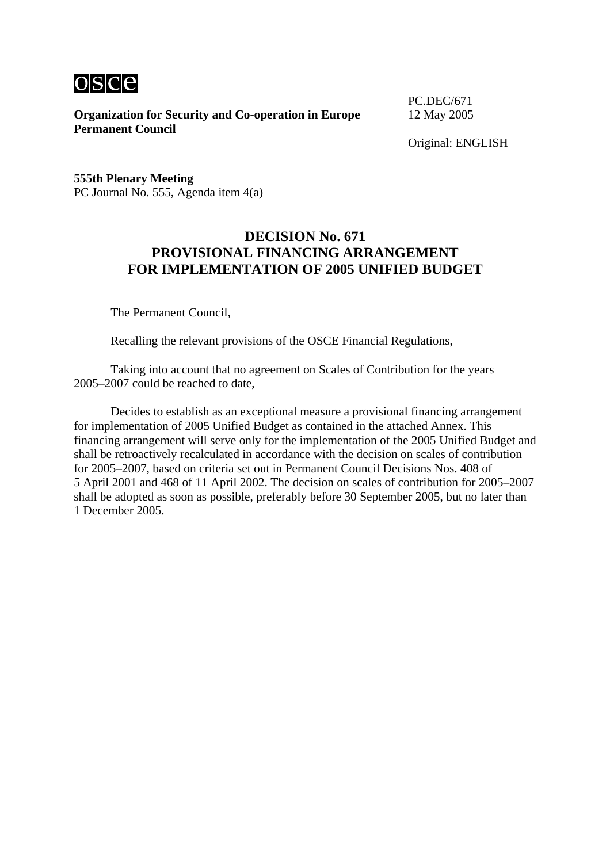

**Organization for Security and Co-operation in Europe** 12 May 2005 **Permanent Council** 

PC.DEC/671

Original: ENGLISH

**555th Plenary Meeting**  PC Journal No. 555, Agenda item 4(a)

#### **DECISION No. 671 PROVISIONAL FINANCING ARRANGEMENT FOR IMPLEMENTATION OF 2005 UNIFIED BUDGET**

The Permanent Council,

Recalling the relevant provisions of the OSCE Financial Regulations,

 Taking into account that no agreement on Scales of Contribution for the years 2005–2007 could be reached to date,

 Decides to establish as an exceptional measure a provisional financing arrangement for implementation of 2005 Unified Budget as contained in the attached Annex. This financing arrangement will serve only for the implementation of the 2005 Unified Budget and shall be retroactively recalculated in accordance with the decision on scales of contribution for 2005–2007, based on criteria set out in Permanent Council Decisions Nos. 408 of 5 April 2001 and 468 of 11 April 2002. The decision on scales of contribution for 2005–2007 shall be adopted as soon as possible, preferably before 30 September 2005, but no later than 1 December 2005.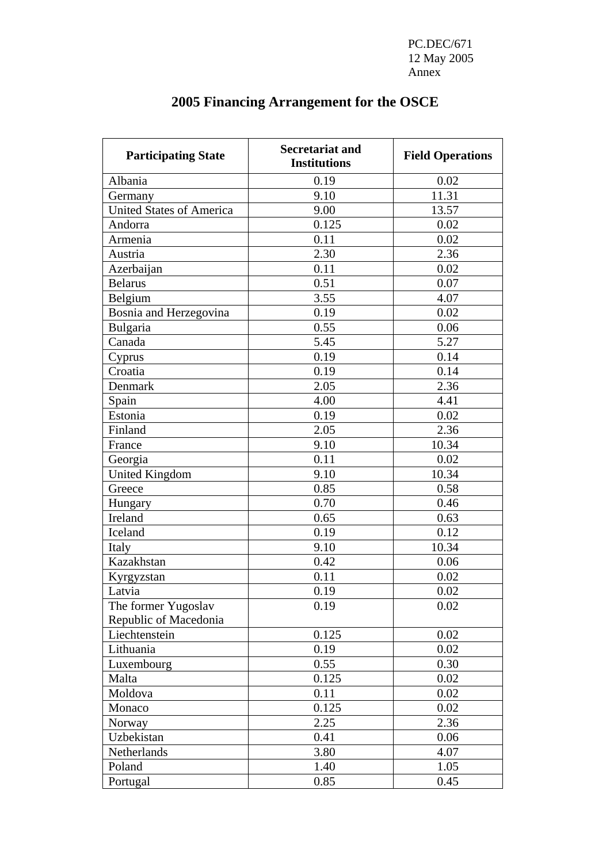PC.DEC/671 12 May 2005 Annex and the state of the state of the state of the state of the state of the state of the state of the state of the state of the state of the state of the state of the state of the state of the state of the state of the

| <b>Participating State</b>                   | <b>Secretariat and</b><br><b>Institutions</b> | <b>Field Operations</b> |
|----------------------------------------------|-----------------------------------------------|-------------------------|
| Albania                                      | 0.19                                          | 0.02                    |
| Germany                                      | 9.10                                          | 11.31                   |
| <b>United States of America</b>              | 9.00                                          | 13.57                   |
| Andorra                                      | 0.125                                         | 0.02                    |
| Armenia                                      | 0.11                                          | 0.02                    |
| Austria                                      | 2.30                                          | 2.36                    |
| Azerbaijan                                   | 0.11                                          | 0.02                    |
| <b>Belarus</b>                               | 0.51                                          | 0.07                    |
| Belgium                                      | 3.55                                          | 4.07                    |
| Bosnia and Herzegovina                       | 0.19                                          | 0.02                    |
| Bulgaria                                     | 0.55                                          | 0.06                    |
| Canada                                       | 5.45                                          | 5.27                    |
| Cyprus                                       | 0.19                                          | 0.14                    |
| Croatia                                      | 0.19                                          | 0.14                    |
| Denmark                                      | 2.05                                          | 2.36                    |
| Spain                                        | 4.00                                          | 4.41                    |
| Estonia                                      | 0.19                                          | 0.02                    |
| Finland                                      | 2.05                                          | 2.36                    |
| France                                       | 9.10                                          | 10.34                   |
| Georgia                                      | 0.11                                          | 0.02                    |
| <b>United Kingdom</b>                        | 9.10                                          | 10.34                   |
| Greece                                       | 0.85                                          | 0.58                    |
| Hungary                                      | 0.70                                          | 0.46                    |
| Ireland                                      | 0.65                                          | 0.63                    |
| Iceland                                      | 0.19                                          | 0.12                    |
| Italy                                        | 9.10                                          | 10.34                   |
| Kazakhstan                                   | 0.42                                          | 0.06                    |
| Kyrgyzstan                                   | 0.11                                          | 0.02                    |
| Latvia                                       | 0.19                                          | 0.02                    |
| The former Yugoslav<br>Republic of Macedonia | 0.19                                          | 0.02                    |
| Liechtenstein                                | 0.125                                         | 0.02                    |
| Lithuania                                    | 0.19                                          | 0.02                    |
| Luxembourg                                   | 0.55                                          | 0.30                    |
| Malta                                        | 0.125                                         | 0.02                    |
| Moldova                                      | 0.11                                          | 0.02                    |
| Monaco                                       | 0.125                                         | 0.02                    |
| Norway                                       | 2.25                                          | 2.36                    |
| Uzbekistan                                   | 0.41                                          | 0.06                    |
| Netherlands                                  | 3.80                                          | 4.07                    |
| Poland                                       | 1.40                                          | 1.05                    |
| Portugal                                     | 0.85                                          | 0.45                    |

# **2005 Financing Arrangement for the OSCE**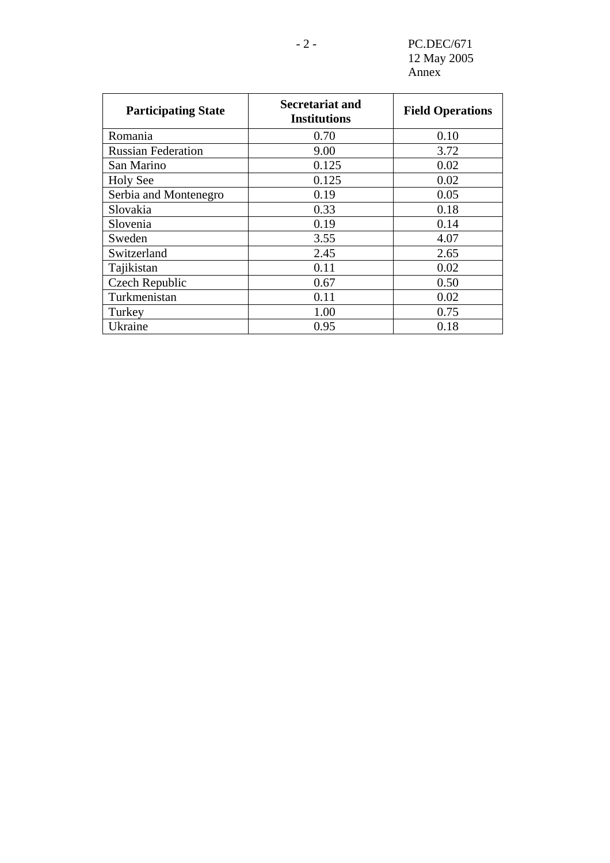- 2 - PC.DEC/671 12 May 2005 Annex

| <b>Participating State</b> | Secretariat and<br><b>Institutions</b> | <b>Field Operations</b> |
|----------------------------|----------------------------------------|-------------------------|
| Romania                    | 0.70                                   | 0.10                    |
| <b>Russian Federation</b>  | 9.00                                   | 3.72                    |
| San Marino                 | 0.125                                  | 0.02                    |
| <b>Holy See</b>            | 0.125                                  | 0.02                    |
| Serbia and Montenegro      | 0.19                                   | 0.05                    |
| Slovakia                   | 0.33                                   | 0.18                    |
| Slovenia                   | 0.19                                   | 0.14                    |
| Sweden                     | 3.55                                   | 4.07                    |
| Switzerland                | 2.45                                   | 2.65                    |
| Tajikistan                 | 0.11                                   | 0.02                    |
| Czech Republic             | 0.67                                   | 0.50                    |
| Turkmenistan               | 0.11                                   | 0.02                    |
| Turkey                     | 1.00                                   | 0.75                    |
| Ukraine                    | 0.95                                   | 0.18                    |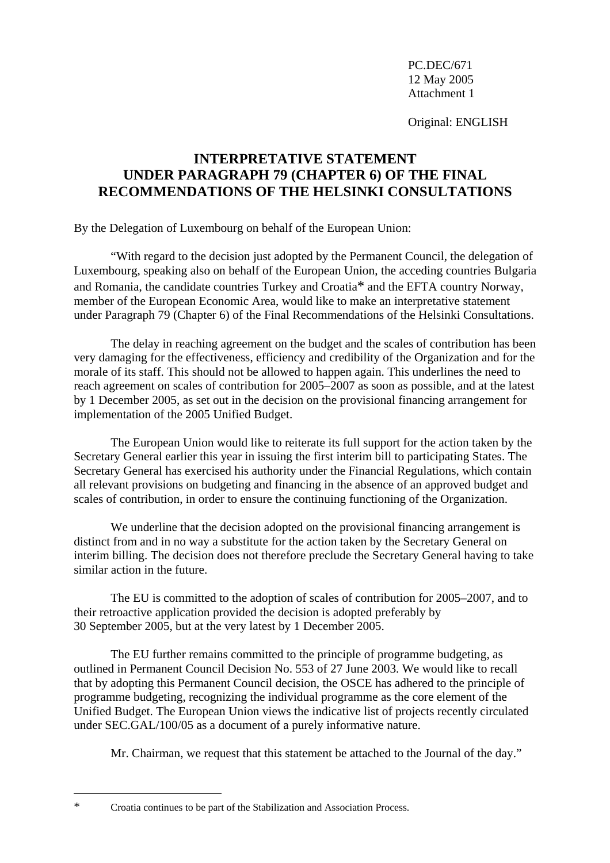Original: ENGLISH

## **INTERPRETATIVE STATEMENT UNDER PARAGRAPH 79 (CHAPTER 6) OF THE FINAL RECOMMENDATIONS OF THE HELSINKI CONSULTATIONS**

By the Delegation of Luxembourg on behalf of the European Union:

 "With regard to the decision just adopted by the Permanent Council, the delegation of Luxembourg, speaking also on behalf of the European Union, the acceding countries Bulgaria and Romania, the candidate countries Turkey and Croatia\* and the EFTA country Norway, member of the European Economic Area, would like to make an interpretative statement under Paragraph 79 (Chapter 6) of the Final Recommendations of the Helsinki Consultations.

 The delay in reaching agreement on the budget and the scales of contribution has been very damaging for the effectiveness, efficiency and credibility of the Organization and for the morale of its staff. This should not be allowed to happen again. This underlines the need to reach agreement on scales of contribution for 2005–2007 as soon as possible, and at the latest by 1 December 2005, as set out in the decision on the provisional financing arrangement for implementation of the 2005 Unified Budget.

 The European Union would like to reiterate its full support for the action taken by the Secretary General earlier this year in issuing the first interim bill to participating States. The Secretary General has exercised his authority under the Financial Regulations, which contain all relevant provisions on budgeting and financing in the absence of an approved budget and scales of contribution, in order to ensure the continuing functioning of the Organization.

We underline that the decision adopted on the provisional financing arrangement is distinct from and in no way a substitute for the action taken by the Secretary General on interim billing. The decision does not therefore preclude the Secretary General having to take similar action in the future.

 The EU is committed to the adoption of scales of contribution for 2005–2007, and to their retroactive application provided the decision is adopted preferably by 30 September 2005, but at the very latest by 1 December 2005.

 The EU further remains committed to the principle of programme budgeting, as outlined in Permanent Council Decision No. 553 of 27 June 2003. We would like to recall that by adopting this Permanent Council decision, the OSCE has adhered to the principle of programme budgeting, recognizing the individual programme as the core element of the Unified Budget. The European Union views the indicative list of projects recently circulated under SEC.GAL/100/05 as a document of a purely informative nature.

Mr. Chairman, we request that this statement be attached to the Journal of the day."

 $\overline{a}$ 

<sup>\*</sup> Croatia continues to be part of the Stabilization and Association Process.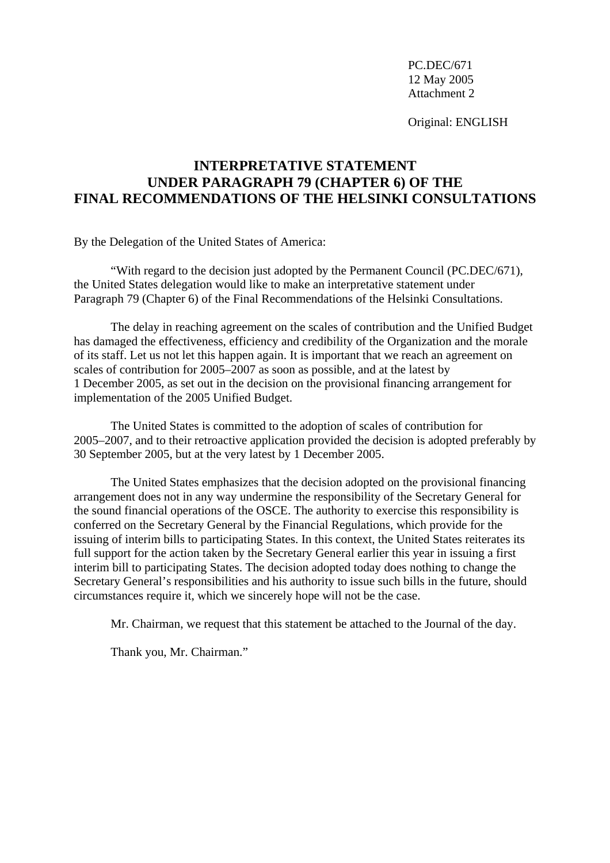Original: ENGLISH

## **INTERPRETATIVE STATEMENT UNDER PARAGRAPH 79 (CHAPTER 6) OF THE FINAL RECOMMENDATIONS OF THE HELSINKI CONSULTATIONS**

By the Delegation of the United States of America:

 "With regard to the decision just adopted by the Permanent Council (PC.DEC/671), the United States delegation would like to make an interpretative statement under Paragraph 79 (Chapter 6) of the Final Recommendations of the Helsinki Consultations.

 The delay in reaching agreement on the scales of contribution and the Unified Budget has damaged the effectiveness, efficiency and credibility of the Organization and the morale of its staff. Let us not let this happen again. It is important that we reach an agreement on scales of contribution for 2005–2007 as soon as possible, and at the latest by 1 December 2005, as set out in the decision on the provisional financing arrangement for implementation of the 2005 Unified Budget.

 The United States is committed to the adoption of scales of contribution for 2005–2007, and to their retroactive application provided the decision is adopted preferably by 30 September 2005, but at the very latest by 1 December 2005.

 The United States emphasizes that the decision adopted on the provisional financing arrangement does not in any way undermine the responsibility of the Secretary General for the sound financial operations of the OSCE. The authority to exercise this responsibility is conferred on the Secretary General by the Financial Regulations, which provide for the issuing of interim bills to participating States. In this context, the United States reiterates its full support for the action taken by the Secretary General earlier this year in issuing a first interim bill to participating States. The decision adopted today does nothing to change the Secretary General's responsibilities and his authority to issue such bills in the future, should circumstances require it, which we sincerely hope will not be the case.

Mr. Chairman, we request that this statement be attached to the Journal of the day.

Thank you, Mr. Chairman."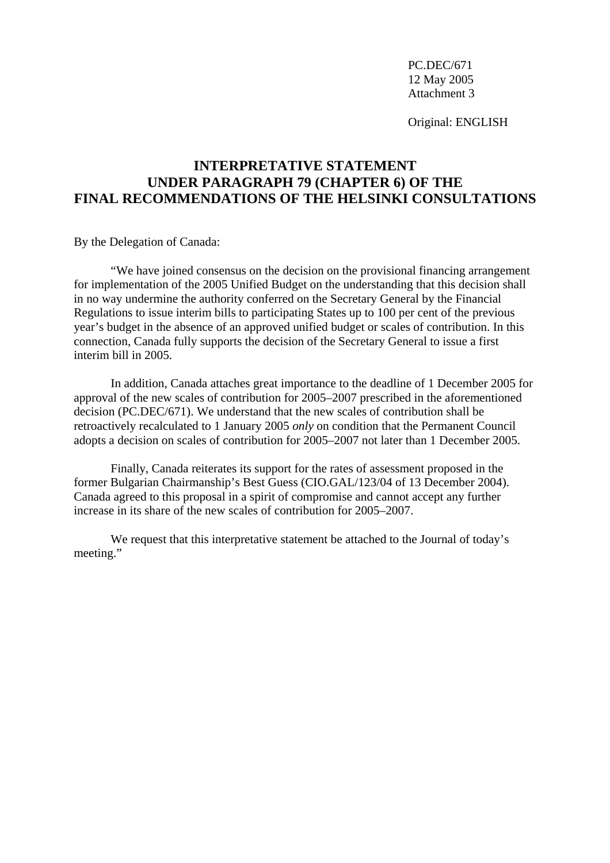Original: ENGLISH

## **INTERPRETATIVE STATEMENT UNDER PARAGRAPH 79 (CHAPTER 6) OF THE FINAL RECOMMENDATIONS OF THE HELSINKI CONSULTATIONS**

By the Delegation of Canada:

 "We have joined consensus on the decision on the provisional financing arrangement for implementation of the 2005 Unified Budget on the understanding that this decision shall in no way undermine the authority conferred on the Secretary General by the Financial Regulations to issue interim bills to participating States up to 100 per cent of the previous year's budget in the absence of an approved unified budget or scales of contribution. In this connection, Canada fully supports the decision of the Secretary General to issue a first interim bill in 2005.

 In addition, Canada attaches great importance to the deadline of 1 December 2005 for approval of the new scales of contribution for 2005–2007 prescribed in the aforementioned decision (PC.DEC/671). We understand that the new scales of contribution shall be retroactively recalculated to 1 January 2005 *only* on condition that the Permanent Council adopts a decision on scales of contribution for 2005–2007 not later than 1 December 2005.

 Finally, Canada reiterates its support for the rates of assessment proposed in the former Bulgarian Chairmanship's Best Guess (CIO.GAL/123/04 of 13 December 2004). Canada agreed to this proposal in a spirit of compromise and cannot accept any further increase in its share of the new scales of contribution for 2005–2007.

 We request that this interpretative statement be attached to the Journal of today's meeting."